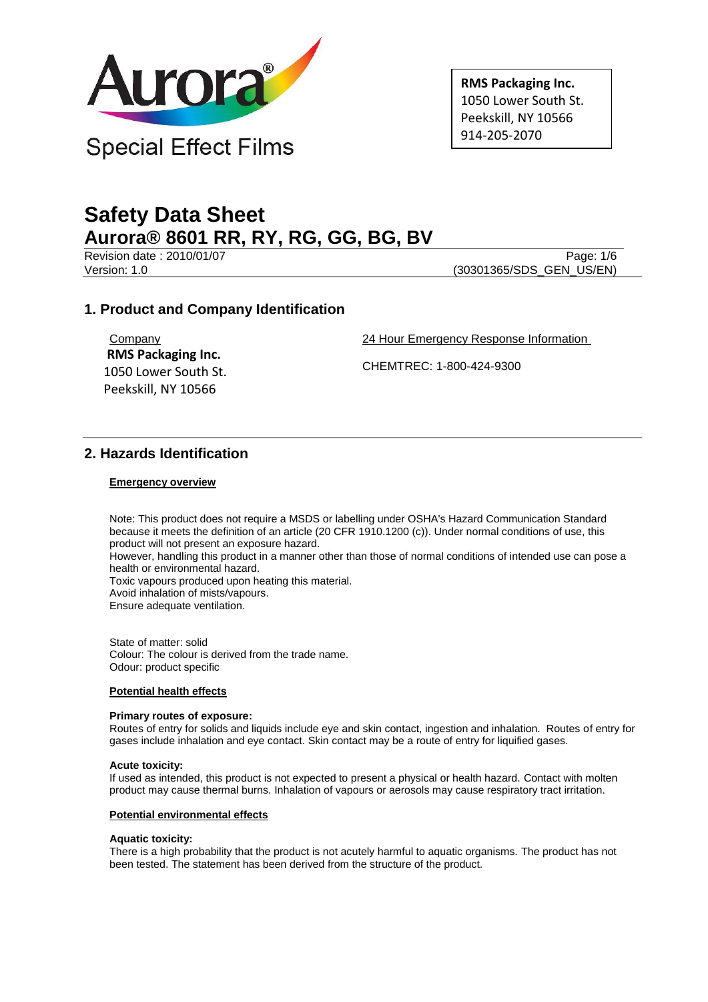

**RMS Packaging Inc.** 1050 Lower South St. Peekskill, NY 10566 914-205-2070

# **Safety Data Sheet Aurora® 8601 RR, RY, RG, GG, BG, BV**

Revision date : 2010/01/07 Page: 1/6

Version: 1.0 (30301365/SDS\_GEN\_US/EN)

# **1. Product and Company Identification**

**Company RMS Packaging Inc.** 1050 Lower South St. Peekskill, NY 10566

24 Hour Emergency Response Information

CHEMTREC: 1-800-424-9300

# **2. Hazards Identification**

## **Emergency overview**

Note: This product does not require a MSDS or labelling under OSHA's Hazard Communication Standard because it meets the definition of an article (20 CFR 1910.1200 (c)). Under normal conditions of use, this product will not present an exposure hazard.

However, handling this product in a manner other than those of normal conditions of intended use can pose a health or environmental hazard.

Toxic vapours produced upon heating this material.

Avoid inhalation of mists/vapours.

Ensure adequate ventilation.

State of matter: solid Colour: The colour is derived from the trade name. Odour: product specific

## **Potential health effects**

### **Primary routes of exposure:**

Routes of entry for solids and liquids include eye and skin contact, ingestion and inhalation. Routes of entry for gases include inhalation and eye contact. Skin contact may be a route of entry for liquified gases.

### **Acute toxicity:**

If used as intended, this product is not expected to present a physical or health hazard. Contact with molten product may cause thermal burns. Inhalation of vapours or aerosols may cause respiratory tract irritation.

## **Potential environmental effects**

## **Aquatic toxicity:**

There is a high probability that the product is not acutely harmful to aquatic organisms. The product has not been tested. The statement has been derived from the structure of the product.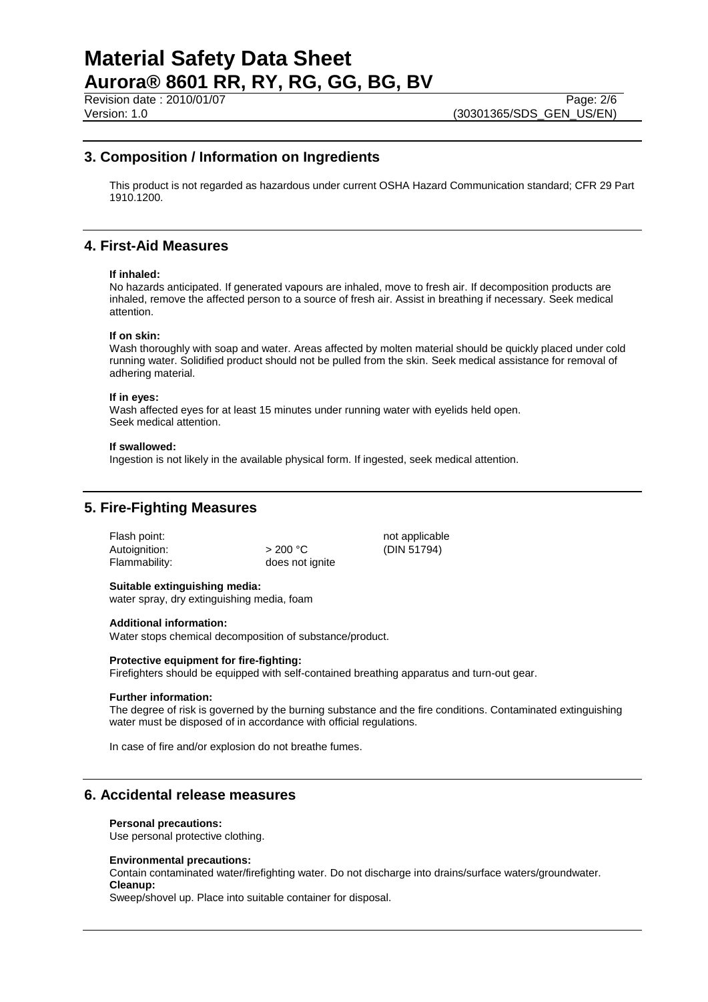Revision date : 2010/01/07 Page: 2/6<br>Version: 1.0 (30301365/SDS GEN US/EN)

# **3. Composition / Information on Ingredients**

This product is not regarded as hazardous under current OSHA Hazard Communication standard; CFR 29 Part 1910.1200.

## **4. First-Aid Measures**

#### **If inhaled:**

No hazards anticipated. If generated vapours are inhaled, move to fresh air. If decomposition products are inhaled, remove the affected person to a source of fresh air. Assist in breathing if necessary. Seek medical attention.

#### **If on skin:**

Wash thoroughly with soap and water. Areas affected by molten material should be quickly placed under cold running water. Solidified product should not be pulled from the skin. Seek medical assistance for removal of adhering material.

#### **If in eyes:**

Wash affected eyes for at least 15 minutes under running water with eyelids held open. Seek medical attention.

#### **If swallowed:**

Ingestion is not likely in the available physical form. If ingested, seek medical attention.

## **5. Fire-Fighting Measures**

Flash point: not applicable not applicable Autoignition:  $> 200 °C$  (DIN 51794)<br>Flammability: does not ignite

does not ignite

# **Suitable extinguishing media:**

water spray, dry extinguishing media, foam

### **Additional information:**

Water stops chemical decomposition of substance/product.

### **Protective equipment for fire-fighting:**

Firefighters should be equipped with self-contained breathing apparatus and turn-out gear.

### **Further information:**

The degree of risk is governed by the burning substance and the fire conditions. Contaminated extinguishing water must be disposed of in accordance with official regulations.

In case of fire and/or explosion do not breathe fumes.

## **6. Accidental release measures**

### **Personal precautions:**

Use personal protective clothing.

### **Environmental precautions:**

Contain contaminated water/firefighting water. Do not discharge into drains/surface waters/groundwater. **Cleanup:**

Sweep/shovel up. Place into suitable container for disposal.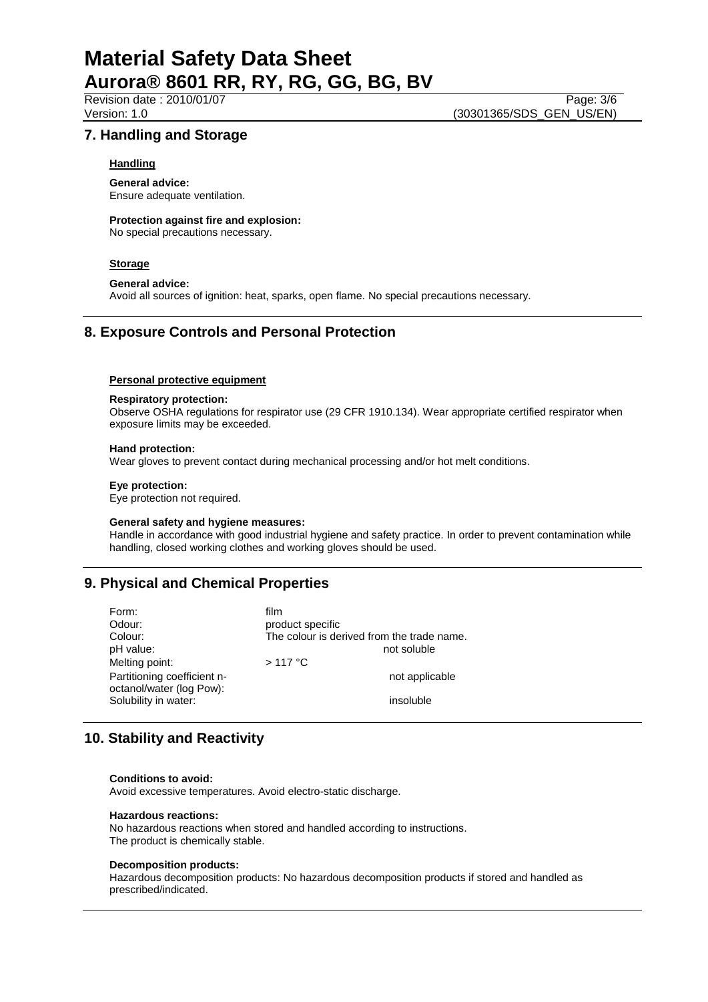Revision date : 2010/01/07 Page: 3/6<br>Version: 1.0 (30301365/SDS GEN US/EN) (30301365/SDS\_GEN\_US/EN)

## **7. Handling and Storage**

## **Handling**

**General advice:** Ensure adequate ventilation.

**Protection against fire and explosion:** No special precautions necessary.

**Storage**

## **General advice:**

Avoid all sources of ignition: heat, sparks, open flame. No special precautions necessary.

# **8. Exposure Controls and Personal Protection**

### **Personal protective equipment**

### **Respiratory protection:**

Observe OSHA regulations for respirator use (29 CFR 1910.134). Wear appropriate certified respirator when exposure limits may be exceeded.

#### **Hand protection:**

Wear gloves to prevent contact during mechanical processing and/or hot melt conditions.

#### **Eye protection:**

Eye protection not required.

#### **General safety and hygiene measures:**

Handle in accordance with good industrial hygiene and safety practice. In order to prevent contamination while handling, closed working clothes and working gloves should be used.

# **9. Physical and Chemical Properties**

| Form:                       | film                                       |
|-----------------------------|--------------------------------------------|
| Odour:                      | product specific                           |
| Colour:                     | The colour is derived from the trade name. |
| pH value:                   | not soluble                                |
| Melting point:              | $>117$ °C                                  |
| Partitioning coefficient n- | not applicable                             |
| octanol/water (log Pow):    |                                            |
| Solubility in water:        | insoluble                                  |

# **10. Stability and Reactivity**

#### **Conditions to avoid:**

Avoid excessive temperatures. Avoid electro-static discharge.

#### **Hazardous reactions:**

No hazardous reactions when stored and handled according to instructions. The product is chemically stable.

#### **Decomposition products:**

Hazardous decomposition products: No hazardous decomposition products if stored and handled as prescribed/indicated.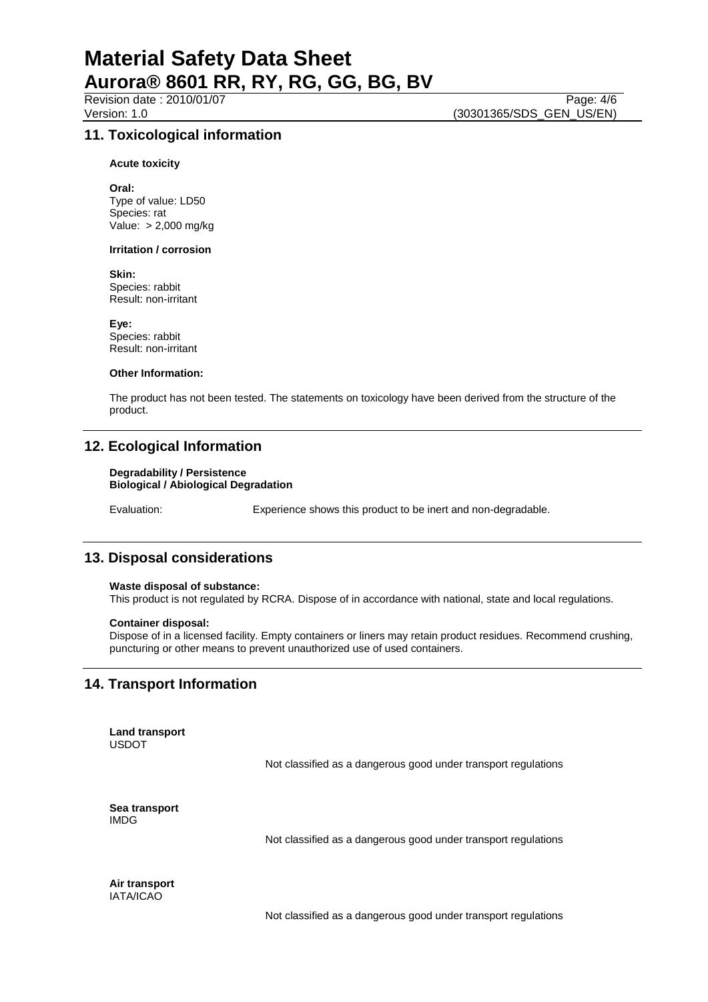Revision date : 2010/01/07 Page: 4/6<br>Version: 1.0 (30301365/SDS GEN US/EN) (30301365/SDS\_GEN\_US/EN)

## **11. Toxicological information**

**Acute toxicity**

**Oral:** Type of value: LD50 Species: rat Value: > 2,000 mg/kg

#### **Irritation / corrosion**

**Skin:**

Species: rabbit Result: non-irritant

**Eye:** Species: rabbit Result: non-irritant

#### **Other Information:**

The product has not been tested. The statements on toxicology have been derived from the structure of the product.

## **12. Ecological Information**

#### **Degradability / Persistence Biological / Abiological Degradation**

Evaluation: Experience shows this product to be inert and non-degradable.

## **13. Disposal considerations**

## **Waste disposal of substance:**

This product is not regulated by RCRA. Dispose of in accordance with national, state and local regulations.

#### **Container disposal:**

Dispose of in a licensed facility. Empty containers or liners may retain product residues. Recommend crushing, puncturing or other means to prevent unauthorized use of used containers.

## **14. Transport Information**

**Land transport** USDOT

Not classified as a dangerous good under transport regulations

**Sea transport** IMDG

Not classified as a dangerous good under transport regulations

**Air transport** IATA/ICAO

Not classified as a dangerous good under transport regulations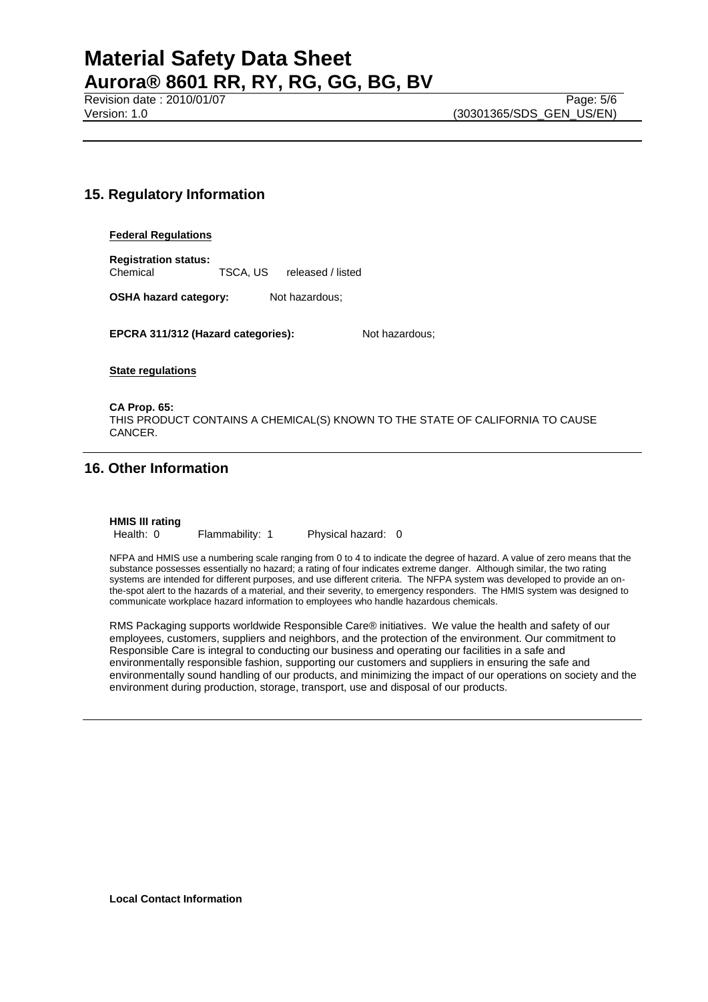# **15. Regulatory Information**

## **Federal Regulations**

**Registration status:** Chemical TSCA, US released / listed

**OSHA hazard category:** Not hazardous;

**EPCRA 311/312 (Hazard categories):** Not hazardous;

**State regulations**

**CA Prop. 65:** THIS PRODUCT CONTAINS A CHEMICAL(S) KNOWN TO THE STATE OF CALIFORNIA TO CAUSE CANCER.

# **16. Other Information**

**HMIS III rating**

Health: 0 Flammability: 1 Physical hazard: 0

NFPA and HMIS use a numbering scale ranging from 0 to 4 to indicate the degree of hazard. A value of zero means that the substance possesses essentially no hazard; a rating of four indicates extreme danger. Although similar, the two rating systems are intended for different purposes, and use different criteria. The NFPA system was developed to provide an onthe-spot alert to the hazards of a material, and their severity, to emergency responders. The HMIS system was designed to communicate workplace hazard information to employees who handle hazardous chemicals.

RMS Packaging supports worldwide Responsible Care® initiatives. We value the health and safety of our employees, customers, suppliers and neighbors, and the protection of the environment. Our commitment to Responsible Care is integral to conducting our business and operating our facilities in a safe and environmentally responsible fashion, supporting our customers and suppliers in ensuring the safe and environmentally sound handling of our products, and minimizing the impact of our operations on society and the environment during production, storage, transport, use and disposal of our products.